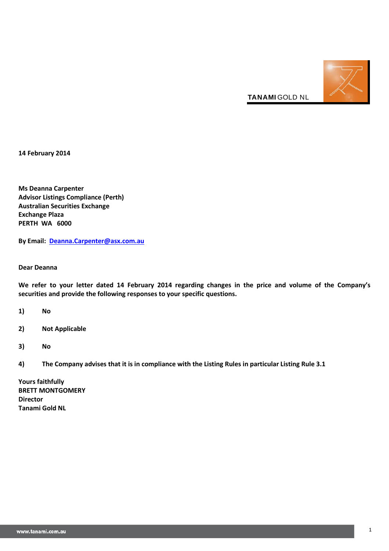

**14 February 2014**

**Ms Deanna Carpenter Advisor Listings Compliance (Perth) Australian Securities Exchange Exchange Plaza PERTH WA 6000**

**By Email: [Deanna.Carpenter@asx.com.au](mailto:Deanna.Carpenter@asx.com.au)**

**Dear Deanna**

**We refer to your letter dated 14 February 2014 regarding changes in the price and volume of the Company's securities and provide the following responses to your specific questions.**

**1) No**

- **2) Not Applicable**
- **3) No**
- **4) The Company advises that it is in compliance with the Listing Rules in particular Listing Rule 3.1**

**Yours faithfully BRETT MONTGOMERY Director Tanami Gold NL**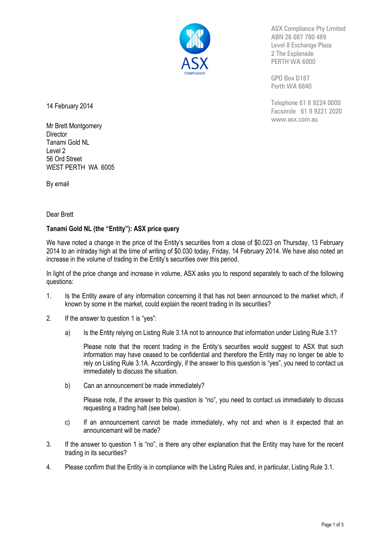

ASX Compliance Pty Limited ABN 26 087 780 489 Level 8 Exchange Plaza 2 The Esplanade PERTH WA 6000

GPO Box D187 Perth WA 6840

Telephone 61 8 9224 0000 Facsimile 61 8 9221 2020 www.asx.com.au

14 February 2014

Mr Brett Montgomery **Director** Tanami Gold NL Level 2 56 Ord Street WEST PERTH WA 6005

By email

## Dear Brett

# **Tanami Gold NL (the "Entity"): ASX price query**

We have noted a change in the price of the Entity's securities from a close of \$0.023 on Thursday, 13 February 2014 to an intraday high at the time of writing of \$0.030 today, Friday, 14 February 2014. We have also noted an increase in the volume of trading in the Entity's securities over this period.

In light of the price change and increase in volume, ASX asks you to respond separately to each of the following questions:

- 1. Is the Entity aware of any information concerning it that has not been announced to the market which, if known by some in the market, could explain the recent trading in its securities?
- 2. If the answer to question 1 is "yes":
	- a) Is the Entity relying on Listing Rule 3.1A not to announce that information under Listing Rule 3.1?

Please note that the recent trading in the Entity's securities would suggest to ASX that such information may have ceased to be confidential and therefore the Entity may no longer be able to rely on Listing Rule 3.1A. Accordingly, if the answer to this question is "yes", you need to contact us immediately to discuss the situation.

b) Can an announcement be made immediately?

Please note, if the answer to this question is "no", you need to contact us immediately to discuss requesting a trading halt (see below).

- c) If an announcement cannot be made immediately, why not and when is it expected that an announcemant will be made?
- 3. If the answer to question 1 is "no", is there any other explanation that the Entity may have for the recent trading in its securities?
- 4. Please confirm that the Entity is in compliance with the Listing Rules and, in particular, Listing Rule 3.1.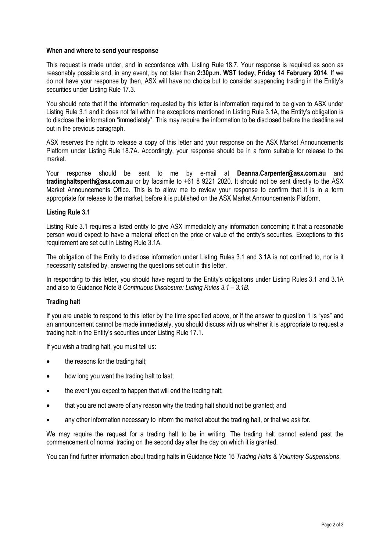### **When and where to send your response**

This request is made under, and in accordance with, Listing Rule 18.7. Your response is required as soon as reasonably possible and, in any event, by not later than **2:30p.m. WST today, Friday 14 February 2014**. If we do not have your response by then, ASX will have no choice but to consider suspending trading in the Entity's securities under Listing Rule 17.3.

You should note that if the information requested by this letter is information required to be given to ASX under Listing Rule 3.1 and it does not fall within the exceptions mentioned in Listing Rule 3.1A, the Entity's obligation is to disclose the information "immediately". This may require the information to be disclosed before the deadline set out in the previous paragraph.

ASX reserves the right to release a copy of this letter and your response on the ASX Market Announcements Platform under Listing Rule 18.7A. Accordingly, your response should be in a form suitable for release to the market.

Your response should be sent to me by e-mail at **[Deanna.Carpenter@asx.com.au](mailto:Deanna.Carpenter@asx.com.au)** and **tradinghaltsperth@asx.com.au** or by facsimile to +61 8 9221 2020. It should not be sent directly to the ASX Market Announcements Office. This is to allow me to review your response to confirm that it is in a form appropriate for release to the market, before it is published on the ASX Market Announcements Platform.

#### **Listing Rule 3.1**

Listing Rule 3.1 requires a listed entity to give ASX immediately any information concerning it that a reasonable person would expect to have a material effect on the price or value of the entity's securities. Exceptions to this requirement are set out in Listing Rule 3.1A.

The obligation of the Entity to disclose information under Listing Rules 3.1 and 3.1A is not confined to, nor is it necessarily satisfied by, answering the questions set out in this letter.

In responding to this letter, you should have regard to the Entity's obligations under Listing Rules 3.1 and 3.1A and also to Guidance Note 8 *Continuous Disclosure: Listing Rules 3.1 – 3.1B*.

### **Trading halt**

If you are unable to respond to this letter by the time specified above, or if the answer to question 1 is "yes" and an announcement cannot be made immediately, you should discuss with us whether it is appropriate to request a trading halt in the Entity's securities under Listing Rule 17.1.

If you wish a trading halt, you must tell us:

- the reasons for the trading halt;
- how long you want the trading halt to last;
- the event you expect to happen that will end the trading halt;
- that you are not aware of any reason why the trading halt should not be granted; and
- any other information necessary to inform the market about the trading halt, or that we ask for.

We may require the request for a trading halt to be in writing. The trading halt cannot extend past the commencement of normal trading on the second day after the day on which it is granted.

You can find further information about trading halts in Guidance Note 16 *Trading Halts & Voluntary Suspensions*.